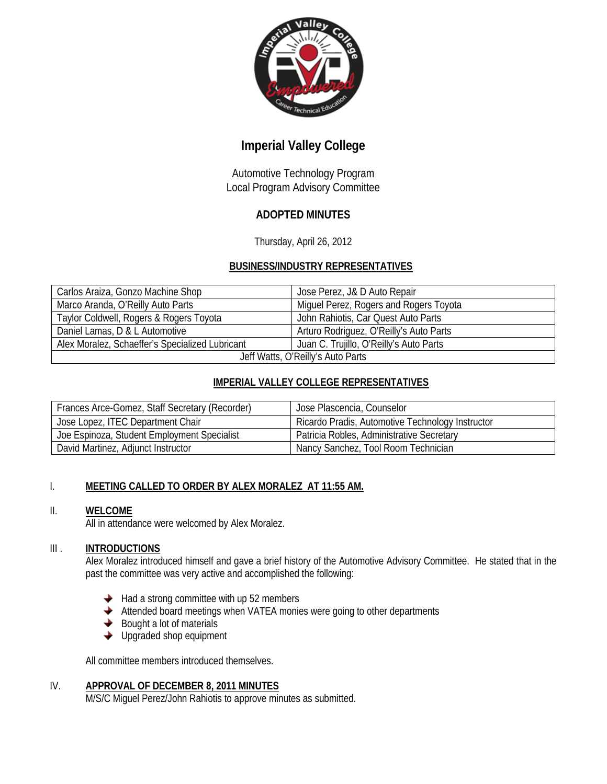

# **Imperial Valley College**

Automotive Technology Program Local Program Advisory Committee

## **ADOPTED MINUTES**

Thursday, April 26, 2012

### **BUSINESS/INDUSTRY REPRESENTATIVES**

| Carlos Araiza, Gonzo Machine Shop               | Jose Perez, J& D Auto Repair            |
|-------------------------------------------------|-----------------------------------------|
| Marco Aranda, O'Reilly Auto Parts               | Miguel Perez, Rogers and Rogers Toyota  |
| Taylor Coldwell, Rogers & Rogers Toyota         | John Rahiotis, Car Quest Auto Parts     |
| Daniel Lamas, D & L Automotive                  | Arturo Rodriguez, O'Reilly's Auto Parts |
| Alex Moralez, Schaeffer's Specialized Lubricant | Juan C. Trujillo, O'Reilly's Auto Parts |
| Jeff Watts, O'Reilly's Auto Parts               |                                         |

### **IMPERIAL VALLEY COLLEGE REPRESENTATIVES**

| Frances Arce-Gomez, Staff Secretary (Recorder) | Jose Plascencia, Counselor                       |
|------------------------------------------------|--------------------------------------------------|
| Jose Lopez, ITEC Department Chair              | Ricardo Pradis, Automotive Technology Instructor |
| Joe Espinoza, Student Employment Specialist    | Patricia Robles, Administrative Secretary        |
| David Martinez, Adjunct Instructor             | Nancy Sanchez, Tool Room Technician              |

### I. **MEETING CALLED TO ORDER BY ALEX MORALEZ AT 11:55 AM.**

### II. **WELCOME**

All in attendance were welcomed by Alex Moralez.

### III . **INTRODUCTIONS**

Alex Moralez introduced himself and gave a brief history of the Automotive Advisory Committee. He stated that in the past the committee was very active and accomplished the following:

- $\blacklozenge$  Had a strong committee with up 52 members
- $\blacklozenge$  Attended board meetings when VATEA monies were going to other departments
- $\blacklozenge$  Bought a lot of materials
- **◆** Upgraded shop equipment

All committee members introduced themselves.

### IV. **APPROVAL OF DECEMBER 8, 2011 MINUTES**

M/S/C Miguel Perez/John Rahiotis to approve minutes as submitted.